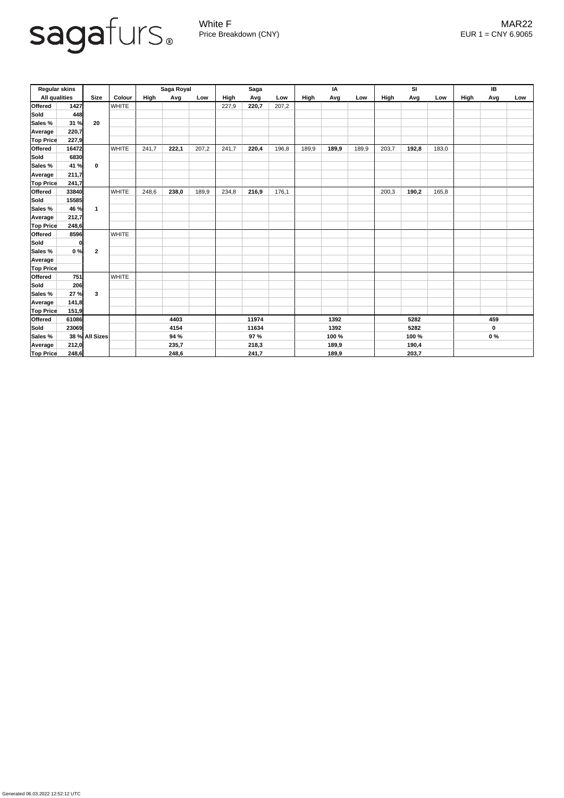

Generated 06.03.2022 12:52:12 UTC

White F MAR22 Price Breakdown (CNY) EUR 1 = CNY 6.9065

| <b>Regular skins</b> |             |                |               | Saga Royal  |       |       | <b>Saga</b> |       |       | IA          |       |       | SI          |       |       | IB          |     |     |
|----------------------|-------------|----------------|---------------|-------------|-------|-------|-------------|-------|-------|-------------|-------|-------|-------------|-------|-------|-------------|-----|-----|
| <b>All qualities</b> |             | <b>Size</b>    | <b>Colour</b> | <b>High</b> | Avg   | Low   | High        | Avg   | Low   | <b>High</b> | Avg   | Low   | <b>High</b> | Avg   | Low   | <b>High</b> | Avg | Low |
| <b>Offered</b>       | 1427        |                | <b>WHITE</b>  |             |       |       | 227,9       | 220,7 | 207,2 |             |       |       |             |       |       |             |     |     |
| <b>Sold</b>          | 448         | 20             |               |             |       |       |             |       |       |             |       |       |             |       |       |             |     |     |
| Sales %              | 31 %        |                |               |             |       |       |             |       |       |             |       |       |             |       |       |             |     |     |
| <b>Average</b>       | 220,7       |                |               |             |       |       |             |       |       |             |       |       |             |       |       |             |     |     |
| <b>Top Price</b>     | 227,9       |                |               |             |       |       |             |       |       |             |       |       |             |       |       |             |     |     |
| <b>Offered</b>       | 16472       |                | <b>WHITE</b>  | 241,7       | 222,1 | 207,2 | 241,7       | 220,4 | 196,8 | 189,9       | 189,9 | 189,9 | 203,7       | 192,8 | 183,0 |             |     |     |
| Sold                 | 6830        |                |               |             |       |       |             |       |       |             |       |       |             |       |       |             |     |     |
| Sales %              | 41 %        | $\mathbf 0$    |               |             |       |       |             |       |       |             |       |       |             |       |       |             |     |     |
| <b>Average</b>       | 211,7       |                |               |             |       |       |             |       |       |             |       |       |             |       |       |             |     |     |
| <b>Top Price</b>     | 241,7       |                |               |             |       |       |             |       |       |             |       |       |             |       |       |             |     |     |
| <b>Offered</b>       | 33840       |                | <b>WHITE</b>  | 248,6       | 238,0 | 189,9 | 234,8       | 216,9 | 176,1 |             |       |       | 200,3       | 190,2 | 165,8 |             |     |     |
| <b>Sold</b>          | 15585       |                |               |             |       |       |             |       |       |             |       |       |             |       |       |             |     |     |
| Sales %              | 46 %        | $\mathbf 1$    |               |             |       |       |             |       |       |             |       |       |             |       |       |             |     |     |
| Average              | 212,7       |                |               |             |       |       |             |       |       |             |       |       |             |       |       |             |     |     |
| <b>Top Price</b>     | 248,6       |                |               |             |       |       |             |       |       |             |       |       |             |       |       |             |     |     |
| <b>Offered</b>       | 8596        |                | <b>WHITE</b>  |             |       |       |             |       |       |             |       |       |             |       |       |             |     |     |
| Sold                 | $\mathbf 0$ |                |               |             |       |       |             |       |       |             |       |       |             |       |       |             |     |     |
| <b>Sales %</b>       | 0%          | $\mathbf{2}$   |               |             |       |       |             |       |       |             |       |       |             |       |       |             |     |     |
| <b>Average</b>       |             |                |               |             |       |       |             |       |       |             |       |       |             |       |       |             |     |     |
| <b>Top Price</b>     |             |                |               |             |       |       |             |       |       |             |       |       |             |       |       |             |     |     |
| <b>Offered</b>       | 751         |                | <b>WHITE</b>  |             |       |       |             |       |       |             |       |       |             |       |       |             |     |     |
| <b>Sold</b>          | 206         |                |               |             |       |       |             |       |       |             |       |       |             |       |       |             |     |     |
| <b>Sales %</b>       | 27 %        | 3              |               |             |       |       |             |       |       |             |       |       |             |       |       |             |     |     |
| Average              | 141,8       |                |               |             |       |       |             |       |       |             |       |       |             |       |       |             |     |     |
| <b>Top Price</b>     | 151,9       |                |               |             |       |       |             |       |       |             |       |       |             |       |       |             |     |     |
| Offered              | 61086       | 4403           |               |             | 11974 |       |             | 1392  |       | 5282        |       |       | 459         |       |       |             |     |     |
| Sold                 | 23069       |                |               | 4154        |       | 11634 |             | 1392  |       | 5282        |       |       | $\mathbf 0$ |       |       |             |     |     |
| <b>Sales %</b>       |             | 38 % All Sizes |               | 94 %        |       |       | 97 %        |       | 100 % |             | 100 % |       |             | $0\%$ |       |             |     |     |
| Average              | 212,0       |                |               | 235,7       |       |       | 218,3       |       | 189,9 |             | 190,4 |       |             |       |       |             |     |     |
| <b>Top Price</b>     | 248,6       |                |               | 248,6       |       | 241,7 |             | 189,9 |       | 203,7       |       |       |             |       |       |             |     |     |